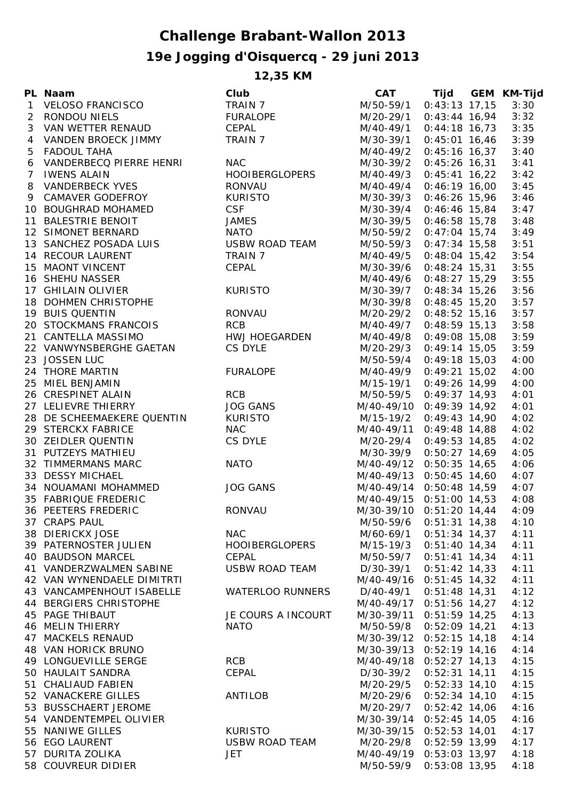## **Challenge Brabant-Wallon 2013**

## **19e Jogging d'Oisquercq - 29 juni 2013**

**12,35 KM**

|   | PL Naam                       | Club                    | <b>CAT</b>               |                 | Tijd GEM KM-Tijd |
|---|-------------------------------|-------------------------|--------------------------|-----------------|------------------|
|   | 1 VELOSO FRANCISCO            | TRAIN 7                 | M/50-59/1 0:43:13 17,15  |                 | 3:30             |
|   | 2 RONDOU NIELS                | FURALOPE                | M/20-29/1                | $0:43:44$ 16,94 | 3:32             |
|   | 3 VAN WETTER RENAUD           | CEPAL                   | M/40-49/1                | $0:44:18$ 16,73 | 3:35             |
| 4 | VANDEN BROECK JIMMY           | TRAIN 7                 | M/30-39/1                | $0:45:01$ 16,46 | 3:39             |
| 5 | <b>FADOUL TAHA</b>            |                         | M/40-49/2                | $0:45:16$ 16,37 | 3:40             |
| 6 | VANDERBECQ PIERRE HENRI       | <b>NAC</b>              | M/30-39/2                | $0:45:26$ 16,31 | 3:41             |
|   | 7 IWENS ALAIN                 | HOOIBERGLOPERS          | M/40-49/3                | $0:45:41$ 16,22 | 3:42             |
| 8 | <b>VANDERBECK YVES</b>        | <b>RONVAU</b>           | M/40-49/4                | $0:46:19$ 16,00 | 3:45             |
|   | 9 CAMAVER GODEFROY            | <b>KURISTO</b>          | M/30-39/3                | $0:46:26$ 15,96 | 3:46             |
|   | 10 BOUGHRAD MOHAMED           | <b>CSF</b>              | M/30-39/4                | $0:46:46$ 15,84 | 3:47             |
|   |                               |                         | M/30-39/5                | $0:46:58$ 15,78 | 3:48             |
|   | 11 BALESTRIE BENOIT           | <b>JAMES</b>            |                          |                 |                  |
|   | 12 SIMONET BERNARD            | <b>NATO</b>             | M/50-59/2                | $0:47:04$ 15,74 | 3:49             |
|   | 13 SANCHEZ POSADA LUIS        | USBW ROAD TEAM          | M/50-59/3                | $0:47:34$ 15,58 | 3:51             |
|   | 14 RECOUR LAURENT             | TRAIN 7                 | M/40-49/5                | $0:48:04$ 15,42 | 3:54             |
|   | 15 MAONT VINCENT              | CEPAL                   | M/30-39/6                | $0:48:24$ 15,31 | 3:55             |
|   | 16 SHEHU NASSER               |                         | M/40-49/6                | $0:48:27$ 15,29 | 3:55             |
|   | 17 GHILAIN OLIVIER            | <b>KURISTO</b>          | M/30-39/7                | $0:48:34$ 15,26 | 3:56             |
|   | 18 DOHMEN CHRISTOPHE          |                         | M/30-39/8                | $0:48:45$ 15,20 | 3:57             |
|   | 19 BUIS QUENTIN               | <b>RONVAU</b>           | M/20-29/2 0:48:52 15,16  |                 | 3:57             |
|   | 20 STOCKMANS FRANCOIS         | <b>RCB</b>              | M/40-49/7                | $0:48:59$ 15,13 | 3:58             |
|   | 21 CANTELLA MASSIMO           | <b>HWJ HOEGARDEN</b>    | M/40-49/8 0:49:08 15,08  |                 | 3:59             |
|   | 22 VANWYNSBERGHE GAETAN       | CS DYLE                 | M/20-29/3 0:49:14 15,05  |                 | 3:59             |
|   | 23 JOSSEN LUC                 |                         | M/50-59/4 0:49:18 15,03  |                 | 4:00             |
|   | 24 THORE MARTIN               | <b>FURALOPE</b>         | M/40-49/9 0:49:21 15,02  |                 | 4:00             |
|   | 25 MIEL BENJAMIN              |                         | M/15-19/1 0:49:26 14,99  |                 | 4:00             |
|   | 26 CRESPINET ALAIN            | <b>RCB</b>              | M/50-59/5                | $0:49:37$ 14,93 | 4:01             |
|   | 27 LELIEVRE THIERRY           | <b>JOG GANS</b>         | M/40-49/10 0:49:39 14,92 |                 | 4:01             |
|   | 28 DE SCHEEMAEKERE QUENTIN    | KURISTO                 | M/15-19/2 0:49:43 14,90  |                 | 4:02             |
|   | 29 STERCKX FABRICE            | <b>NAC</b>              | M/40-49/11 0:49:48 14,88 |                 | 4:02             |
|   | 30 ZEIDLER QUENTIN            | CS DYLE                 | M/20-29/4 0:49:53 14,85  |                 | 4:02             |
|   | 31 PUTZEYS MATHIEU            |                         | M/30-39/9 0:50:27 14,69  |                 | 4:05             |
|   | 32 TIMMERMANS MARC            | <b>NATO</b>             | M/40-49/12 0:50:35 14,65 |                 | 4:06             |
|   |                               |                         | M/40-49/13 0:50:45 14,60 |                 |                  |
|   | 33 DESSY MICHAEL              |                         |                          |                 | 4:07             |
|   | 34 NOUAMANI MOHAMMED          | <b>JOG GANS</b>         | M/40-49/14 0:50:48 14,59 |                 | 4:07             |
|   | 35 FABRIQUE FREDERIC          |                         | M/40-49/15 0:51:00 14,53 |                 | 4:08             |
|   | <b>36 PEETERS FREDERIC</b>    | <b>RONVAU</b>           | M/30-39/10 0:51:20 14,44 |                 | 4:09             |
|   | 37 CRAPS PAUL                 |                         | M/50-59/6                | $0:51:31$ 14,38 | 4:10             |
|   | 38 DIERICKX JOSE              | <b>NAC</b>              | M/60-69/1                | $0:51:34$ 14,37 | 4:11             |
|   | 39 PATERNOSTER JULIEN         | <b>HOOIBERGLOPERS</b>   | M/15-19/3                | $0:51:40$ 14,34 | 4:11             |
|   | <b>40 BAUDSON MARCEL</b>      | CEPAL                   | M/50-59/7                | $0:51:41$ 14,34 | 4:11             |
|   | 41 VANDERZWALMEN SABINE       | <b>USBW ROAD TEAM</b>   | D/30-39/1                | $0:51:42$ 14,33 | 4:11             |
|   | 42 VAN WYNENDAELE DIMITRTI    |                         | M/40-49/16 0:51:45 14,32 |                 | 4:11             |
|   | 43 VANCAMPENHOUT ISABELLE     | <b>WATERLOO RUNNERS</b> | D/40-49/1                | $0:51:48$ 14,31 | 4:12             |
|   | <b>44 BERGIERS CHRISTOPHE</b> |                         | M/40-49/17 0:51:56 14,27 |                 | 4:12             |
|   | <b>45 PAGE THIBAUT</b>        | JE COURS A INCOURT      | M/30-39/11 0:51:59 14,25 |                 | 4:13             |
|   | <b>46 MELIN THIERRY</b>       | <b>NATO</b>             | M/50-59/8                | $0:52:09$ 14,21 | 4:13             |
|   | 47 MACKELS RENAUD             |                         | M/30-39/12 0:52:15 14,18 |                 | 4:14             |
|   | 48 VAN HORICK BRUNO           |                         | M/30-39/13 0:52:19 14,16 |                 | 4:14             |
|   | 49 LONGUEVILLE SERGE          | <b>RCB</b>              | M/40-49/18 0:52:27 14,13 |                 | 4:15             |
|   | 50 HAULAIT SANDRA             | CEPAL                   | D/30-39/2                | $0:52:31$ 14,11 | 4:15             |
|   | 51 CHALIAUD FABIEN            |                         | M/20-29/5                | $0:52:33$ 14,10 | 4:15             |
|   | 52 VANACKERE GILLES           | <b>ANTILOB</b>          | M/20-29/6                | $0:52:34$ 14,10 | 4:15             |
|   | 53 BUSSCHAERT JEROME          |                         | M/20-29/7                | $0:52:42$ 14,06 | 4:16             |
|   | 54 VANDENTEMPEL OLIVIER       |                         | M/30-39/14 0:52:45 14,05 |                 | 4:16             |
|   | 55 NANIWE GILLES              | <b>KURISTO</b>          | M/30-39/15 0:52:53 14,01 |                 | 4:17             |
|   |                               | <b>USBW ROAD TEAM</b>   |                          |                 |                  |
|   | 56 EGO LAURENT                |                         | M/20-29/8                | $0:52:59$ 13,99 | 4:17             |
|   | 57 DURITA ZOLIKA              | <b>JET</b>              | M/40-49/19 0:53:03 13,97 |                 | 4:18             |
|   | 58 COUVREUR DIDIER            |                         | M/50-59/9                | $0:53:08$ 13,95 | 4:18             |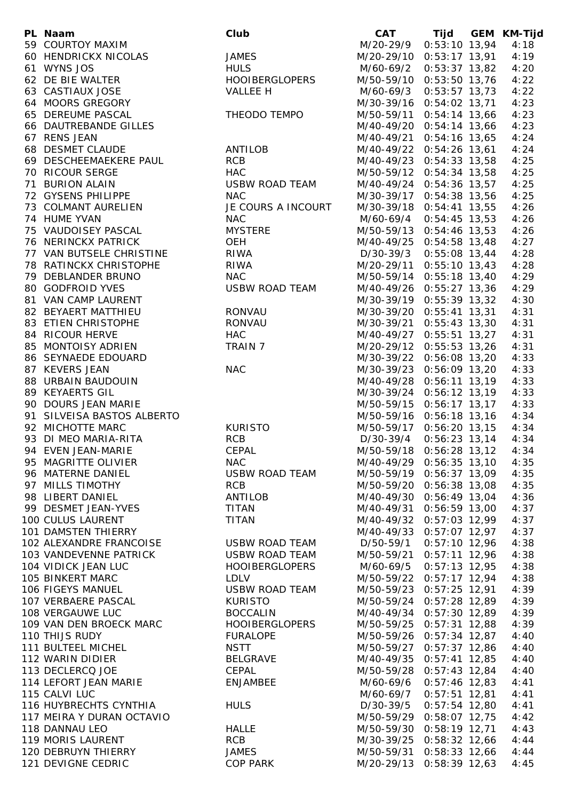| PL Naam                                | Club                  |                          | CAT Tijd GEM KM-Tijd |      |
|----------------------------------------|-----------------------|--------------------------|----------------------|------|
| 59 COURTOY MAXIM                       |                       | M/20-29/9 0:53:10 13,94  |                      | 4:18 |
| 60 HENDRICKX NICOLAS                   | <b>JAMES</b>          | M/20-29/10 0:53:17 13,91 |                      | 4:19 |
| 61 WYNS JOS                            | <b>HULS</b>           | M/60-69/2 0:53:37 13,82  |                      | 4:20 |
| 62 DE BIE WALTER                       | HOOIBERGLOPERS        | M/50-59/10 0:53:50 13,76 |                      | 4:22 |
| 63 CASTIAUX JOSE                       | VALLEE H              | M/60-69/3 0:53:57 13,73  |                      | 4:22 |
| 64 MOORS GREGORY                       |                       | M/30-39/16 0:54:02 13,71 |                      | 4:23 |
| 65 DEREUME PASCAL                      | THEODO TEMPO          | M/50-59/11 0:54:14 13,66 |                      | 4:23 |
| 66 DAUTREBANDE GILLES                  |                       | M/40-49/20 0:54:14 13,66 |                      | 4:23 |
| 67 RENS JEAN                           |                       | M/40-49/21 0:54:16 13,65 |                      | 4:24 |
| 68 DESMET CLAUDE                       | ANTILOB               | M/40-49/22 0:54:26 13,61 |                      | 4:24 |
| 69 DESCHEEMAEKERE PAUL                 | <b>RCB</b>            | M/40-49/23 0:54:33 13,58 |                      | 4:25 |
| 70 RICOUR SERGE                        | HAC                   | M/50-59/12 0:54:34 13,58 |                      | 4:25 |
| 71 BURION ALAIN                        | USBW ROAD TEAM        | M/40-49/24 0:54:36 13,57 |                      | 4:25 |
| 72 GYSENS PHILIPPE                     | NAC                   |                          |                      |      |
| 73 COLMANT AURELIEN                    | JE COURS A INCOURT    | M/30-39/17 0:54:38 13,56 |                      | 4:25 |
|                                        |                       | M/30-39/18 0:54:41 13,55 |                      | 4:26 |
| 74 HUME YVAN<br>75 VAUDOISEY PASCAL    | <b>NAC</b>            | M/60-69/4 0:54:45 13,53  |                      | 4:26 |
|                                        | <b>MYSTERE</b>        | M/50-59/13 0:54:46 13,53 |                      | 4:26 |
| 76 NERINCKX PATRICK                    | OEH                   | M/40-49/25 0:54:58 13,48 |                      | 4:27 |
| 77 VAN BUTSELE CHRISTINE RIWA          |                       | D/30-39/3 0:55:08 13,44  |                      | 4:28 |
| 78 RATINCKX CHRISTOPHE RIWA            |                       | M/20-29/11 0:55:10 13,43 |                      | 4:28 |
| 79 DEBLANDER BRUNO                     | <b>NAC</b>            | M/50-59/14 0:55:18 13,40 |                      | 4:29 |
| 80 GODFROID YVES                       | USBW ROAD TEAM        | M/40-49/26 0:55:27 13,36 |                      | 4:29 |
| 81 VAN CAMP LAURENT                    |                       | M/30-39/19 0:55:39 13,32 |                      | 4:30 |
| 82 BEYAERT MATTHIEU                    | RONVAU                | M/30-39/20 0:55:41 13,31 |                      | 4:31 |
| 83 ETIEN CHRISTOPHE<br>84 RICOUR HERVE | RONVAU                | M/30-39/21 0:55:43 13,30 |                      | 4:31 |
|                                        | HAC                   | M/40-49/27 0:55:51 13,27 |                      | 4:31 |
| 85 MONTOISY ADRIEN                     | TRAIN 7               | M/20-29/12 0:55:53 13,26 |                      | 4:31 |
| 86 SEYNAEDE EDOUARD                    |                       | M/30-39/22 0:56:08 13,20 |                      | 4:33 |
| 87 KEVERS JEAN                         | <b>NAC</b>            | M/30-39/23 0:56:09 13,20 |                      | 4:33 |
| 88 URBAIN BAUDOUIN                     |                       | M/40-49/28 0:56:11 13,19 |                      | 4:33 |
| 89 KEYAERTS GIL                        |                       | M/30-39/24 0:56:12 13,19 |                      | 4:33 |
| 90 DOURS JEAN MARIE                    |                       | M/50-59/15 0:56:17 13,17 |                      | 4:33 |
| 91 SILVEISA BASTOS ALBERTO             |                       | M/50-59/16 0:56:18 13,16 |                      | 4:34 |
| 92 MICHOTTE MARC                       | <b>KURISTO</b>        | M/50-59/17 0:56:20 13,15 |                      | 4:34 |
| 93 DI MEO MARIA-RITA                   | <b>RCB</b>            | D/30-39/4 0:56:23 13,14  |                      | 4:34 |
| 94 EVEN JEAN-MARIE                     | <b>CEPAL</b>          | M/50-59/18 0:56:28 13,12 |                      | 4:34 |
| 95 MAGRITTE OLIVIER                    | <b>NAC</b>            |                          |                      | 4:35 |
|                                        |                       | M/40-49/29 0:56:35 13,10 |                      |      |
| 96 MATERNE DANIEL                      | USBW ROAD TEAM        | M/50-59/19 0:56:37 13,09 |                      | 4:35 |
| 97 MILLS TIMOTHY                       | <b>RCB</b>            | M/50-59/20 0:56:38 13,08 |                      | 4:35 |
| 98 LIBERT DANIEL                       | ANTILOB               | M/40-49/30 0:56:49 13,04 |                      | 4:36 |
| 99 DESMET JEAN-YVES                    | <b>TITAN</b>          | M/40-49/31 0:56:59 13,00 |                      | 4:37 |
| 100 CULUS LAURENT                      | <b>TITAN</b>          | M/40-49/32 0:57:03 12,99 |                      | 4:37 |
| 101 DAMSTEN THIERRY                    |                       | M/40-49/33 0:57:07 12,97 |                      | 4:37 |
| 102 ALEXANDRE FRANCOISE                | USBW ROAD TEAM        | D/50-59/1 0:57:10 12,96  |                      | 4:38 |
| 103 VANDEVENNE PATRICK                 | USBW ROAD TEAM        | M/50-59/21 0:57:11 12,96 |                      | 4:38 |
| 104 VIDICK JEAN LUC                    | <b>HOOIBERGLOPERS</b> | M/60-69/5 0:57:13 12,95  |                      | 4:38 |
| 105 BINKERT MARC                       | LDLV                  | M/50-59/22 0:57:17 12,94 |                      | 4:38 |
| 106 FIGEYS MANUEL                      | <b>USBW ROAD TEAM</b> | M/50-59/23 0:57:25 12,91 |                      | 4:39 |
| 107 VERBAERE PASCAL                    | <b>KURISTO</b>        | M/50-59/24 0:57:28 12,89 |                      | 4:39 |
| 108 VERGAUWE LUC                       | <b>BOCCALIN</b>       | M/40-49/34 0:57:30 12,89 |                      | 4:39 |
| 109 VAN DEN BROECK MARC                | <b>HOOIBERGLOPERS</b> | M/50-59/25 0:57:31 12,88 |                      | 4:39 |
| 110 THIJS RUDY                         | <b>FURALOPE</b>       | M/50-59/26 0:57:34 12,87 |                      | 4:40 |
| 111 BULTEEL MICHEL                     | <b>NSTT</b>           | M/50-59/27 0:57:37 12,86 |                      | 4:40 |
| 112 WARIN DIDIER                       | BELGRAVE              | M/40-49/35 0:57:41 12,85 |                      | 4:40 |
| 113 DECLERCQ JOE                       | CEPAL                 | M/50-59/28 0:57:43 12,84 |                      | 4:40 |
| 114 LEFORT JEAN MARIE                  | ENJAMBEE              | M/60-69/6 0:57:46 12,83  |                      | 4:41 |
| 115 CALVI LUC                          |                       | M/60-69/7 0:57:51 12,81  |                      | 4:41 |
| 116 HUYBRECHTS CYNTHIA                 | <b>HULS</b>           | D/30-39/5 0:57:54 12,80  |                      | 4:41 |
| 117 MEIRA Y DURAN OCTAVIO              |                       | M/50-59/29 0:58:07 12,75 |                      | 4:42 |
|                                        |                       |                          |                      |      |
| 118 DANNAU LEO                         | <b>HALLE</b>          | M/50-59/30 0:58:19 12,71 |                      | 4:43 |
| 119 MORIS LAURENT                      | <b>RCB</b>            | M/30-39/25 0:58:32 12,66 |                      | 4:44 |
| 120 DEBRUYN THIERRY                    | <b>JAMES</b>          | M/50-59/31 0:58:33 12,66 |                      | 4:44 |
| 121 DEVIGNE CEDRIC                     | <b>COP PARK</b>       | M/20-29/13 0:58:39 12,63 |                      | 4:45 |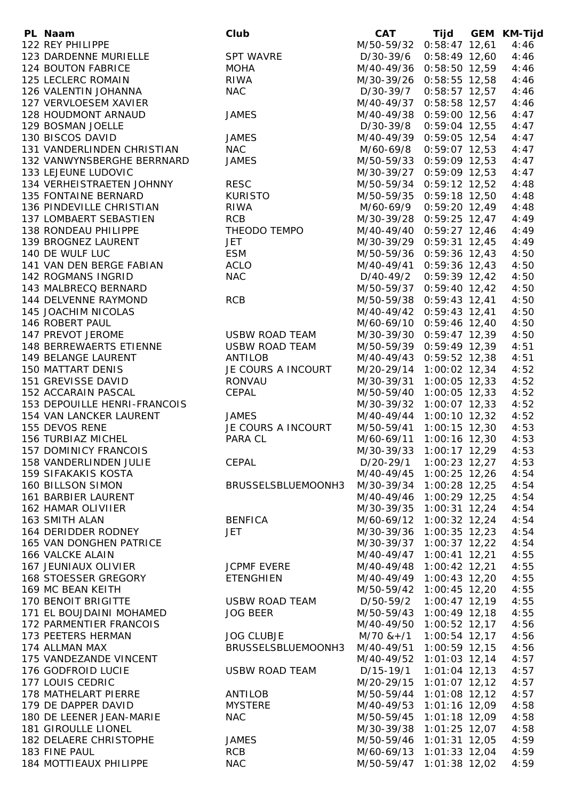| PL Naam                      | Club                  |                           | CAT Tijd GEM KM-Tijd |      |
|------------------------------|-----------------------|---------------------------|----------------------|------|
| 122 REY PHILIPPE             |                       | M/50-59/32 0:58:47 12,61  |                      | 4:46 |
| 123 DARDENNE MURIELLE        | <b>SPT WAVRE</b>      | D/30-39/6 0:58:49 12,60   |                      | 4:46 |
| 124 BOUTON FABRICE           | <b>MOHA</b>           | M/40-49/36 0:58:50 12,59  |                      | 4:46 |
| 125 LECLERC ROMAIN           | <b>RIWA</b>           | M/30-39/26 0:58:55 12,58  |                      | 4:46 |
| 126 VALENTIN JOHANNA         | <b>NAC</b>            | D/30-39/7                 | $0:58:57$ 12,57      | 4:46 |
| 127 VERVLOESEM XAVIER        |                       | M/40-49/37 0:58:58 12,57  |                      | 4:46 |
|                              |                       |                           |                      |      |
| 128 HOUDMONT ARNAUD          | <b>JAMES</b>          | M/40-49/38 0:59:00 12,56  |                      | 4:47 |
| 129 BOSMAN JOELLE            |                       | D/30-39/8                 | $0:59:04$ 12,55      | 4:47 |
| 130 BISCOS DAVID             | <b>JAMES</b>          | M/40-49/39 0:59:05 12,54  |                      | 4:47 |
| 131 VANDERLINDEN CHRISTIAN   | <b>NAC</b>            | M/60-69/8                 | $0:59:07$ 12,53      | 4:47 |
| 132 VANWYNSBERGHE BERRNARD   | <b>JAMES</b>          | M/50-59/33 0:59:09 12,53  |                      | 4:47 |
| 133 LEJEUNE LUDOVIC          |                       | M/30-39/27 0:59:09 12,53  |                      | 4:47 |
| 134 VERHEISTRAETEN JOHNNY    | <b>RESC</b>           | M/50-59/34 0:59:12 12,52  |                      | 4:48 |
| 135 FONTAINE BERNARD         | KURISTO               | M/50-59/35 0:59:18 12,50  |                      | 4:48 |
| 136 PINDEVILLE CHRISTIAN     | <b>RIWA</b>           | M/60-69/9 0:59:20 12,49   |                      | 4:48 |
| 137 LOMBAERT SEBASTIEN       | <b>RCB</b>            | M/30-39/28 0:59:25 12,47  |                      | 4:49 |
| 138 RONDEAU PHILIPPE         | THEODO TEMPO          | M/40-49/40 0:59:27 12,46  |                      | 4:49 |
| 139 BROGNEZ LAURENT          | <b>JET</b>            | M/30-39/29 0:59:31 12,45  |                      | 4:49 |
| 140 DE WULF LUC              | <b>ESM</b>            | M/50-59/36 0:59:36 12,43  |                      | 4:50 |
| 141 VAN DEN BERGE FABIAN     | <b>ACLO</b>           | M/40-49/41 0:59:36 12,43  |                      | 4:50 |
| 142 ROGMANS INGRID           | <b>NAC</b>            |                           |                      | 4:50 |
|                              |                       | $D/40-49/2$ 0:59:39 12,42 |                      |      |
| 143 MALBRECQ BERNARD         |                       | M/50-59/37 0:59:40 12,42  |                      | 4:50 |
| 144 DELVENNE RAYMOND         | <b>RCB</b>            | M/50-59/38 0:59:43 12,41  |                      | 4:50 |
| 145 JOACHIM NICOLAS          |                       | M/40-49/42 0:59:43 12,41  |                      | 4:50 |
| 146 ROBERT PAUL              |                       | M/60-69/10 0:59:46 12,40  |                      | 4:50 |
| 147 PREVOT JEROME            | <b>USBW ROAD TEAM</b> | M/30-39/30 0:59:47 12,39  |                      | 4:50 |
| 148 BERREWAERTS ETIENNE      | <b>USBW ROAD TEAM</b> | M/50-59/39 0:59:49 12,39  |                      | 4:51 |
| 149 BELANGE LAURENT          | ANTILOB               | M/40-49/43 0:59:52 12,38  |                      | 4:51 |
| <b>150 MATTART DENIS</b>     | JE COURS A INCOURT    | M/20-29/14 1:00:02 12,34  |                      | 4:52 |
| 151 GREVISSE DAVID           | RONVAU                | M/30-39/31 1:00:05 12,33  |                      | 4:52 |
| 152 ACCARAIN PASCAL          | CEPAL                 | M/50-59/40 1:00:05 12,33  |                      | 4:52 |
| 153 DEPOUILLE HENRI-FRANCOIS |                       | M/30-39/32 1:00:07 12,33  |                      | 4:52 |
| 154 VAN LANCKER LAURENT      | <b>JAMES</b>          | M/40-49/44 1:00:10 12,32  |                      | 4:52 |
| 155 DEVOS RENE               | JE COURS A INCOURT    | M/50-59/41 1:00:15 12,30  |                      | 4:53 |
| 156 TURBIAZ MICHEL           | PARA CL               | M/60-69/11 1:00:16 12,30  |                      | 4:53 |
| <b>157 DOMINICY FRANCOIS</b> |                       | M/30-39/33                | $1:00:17$ 12,29      | 4:53 |
| 158 VANDERLINDEN JULIE       | CEPAL                 | D/20-29/1 1:00:23 12,27   |                      | 4:53 |
| <b>159 SIFAKAKIS KOSTA</b>   |                       | M/40-49/45                | $1:00:25$ 12,26      | 4:54 |
| <b>160 BILLSON SIMON</b>     | BRUSSELSBLUEMOONH3    | M/30-39/34 1:00:28 12,25  |                      | 4:54 |
| 161 BARBIER LAURENT          |                       | M/40-49/46                | 1:00:29 12,25        | 4:54 |
| 162 HAMAR OLIVIIER           |                       | M/30-39/35                | $1:00:31$ 12,24      | 4:54 |
| 163 SMITH ALAN               | <b>BENFICA</b>        | M/60-69/12 1:00:32 12,24  |                      | 4:54 |
|                              | <b>JET</b>            |                           |                      |      |
| 164 DERIDDER RODNEY          |                       | M/30-39/36                | $1:00:35$ 12,23      | 4:54 |
| 165 VAN DONGHEN PATRICE      |                       | M/30-39/37                | 1:00:37 12,22        | 4:54 |
| 166 VALCKE ALAIN             |                       | M/40-49/47                | $1:00:41$ 12,21      | 4:55 |
| 167 JEUNIAUX OLIVIER         | <b>JCPMF EVERE</b>    | M/40-49/48 1:00:42 12,21  |                      | 4:55 |
| 168 STOESSER GREGORY         | <b>ETENGHIEN</b>      | M/40-49/49 1:00:43 12,20  |                      | 4:55 |
| 169 MC BEAN KEITH            |                       | M/50-59/42 1:00:45 12,20  |                      | 4:55 |
| <b>170 BENOIT BRIGITTE</b>   | <b>USBW ROAD TEAM</b> | D/50-59/2                 | $1:00:47$ 12,19      | 4:55 |
| 171 EL BOUJDAINI MOHAMED     | <b>JOG BEER</b>       | M/50-59/43 1:00:49 12,18  |                      | 4:55 |
| 172 PARMENTIER FRANCOIS      |                       | M/40-49/50 1:00:52 12,17  |                      | 4:56 |
| 173 PEETERS HERMAN           | <b>JOG CLUBJE</b>     | $M/70$ & + $/1$           | $1:00:54$ 12,17      | 4:56 |
| 174 ALLMAN MAX               | BRUSSELSBLUEMOONH3    | M/40-49/51 1:00:59 12,15  |                      | 4:56 |
| 175 VANDEZANDE VINCENT       |                       | M/40-49/52 1:01:03 12,14  |                      | 4:57 |
| 176 GODFROID LUCIE           | <b>USBW ROAD TEAM</b> | D/15-19/1                 | $1:01:04$ 12,13      | 4:57 |
| 177 LOUIS CEDRIC             |                       | M/20-29/15 1:01:07 12,12  |                      | 4:57 |
| 178 MATHELART PIERRE         | <b>ANTILOB</b>        | M/50-59/44 1:01:08 12,12  |                      | 4:57 |
| 179 DE DAPPER DAVID          | <b>MYSTERE</b>        | M/40-49/53 1:01:16 12,09  |                      | 4:58 |
| 180 DE LEENER JEAN-MARIE     | <b>NAC</b>            | M/50-59/45 1:01:18 12,09  |                      | 4:58 |
| 181 GIROULLE LIONEL          |                       | M/30-39/38 1:01:25 12,07  |                      | 4:58 |
| 182 DELAERE CHRISTOPHE       | <b>JAMES</b>          | M/50-59/46 1:01:31 12,05  |                      | 4:59 |
| 183 FINE PAUL                | <b>RCB</b>            | M/60-69/13 1:01:33 12,04  |                      | 4:59 |
| 184 MOTTIEAUX PHILIPPE       | <b>NAC</b>            | M/50-59/47 1:01:38 12,02  |                      | 4:59 |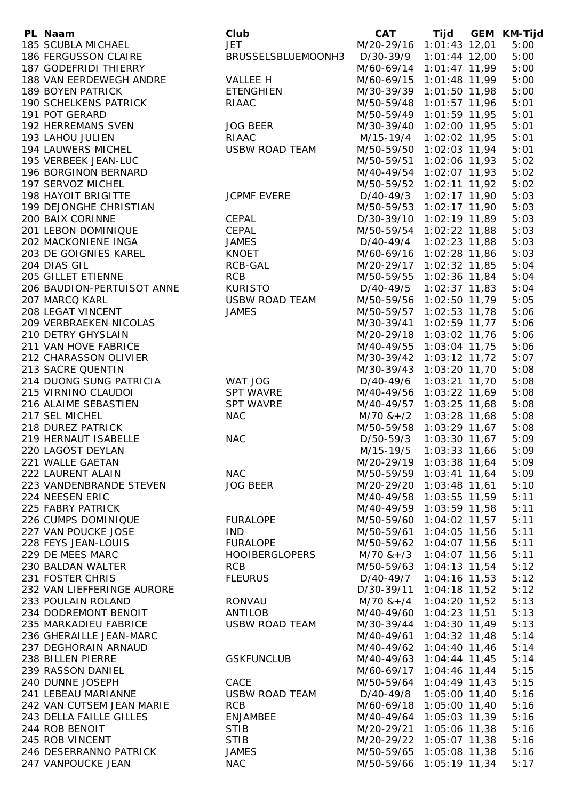| PL Naam                      | Club                  | <b>CAT</b>               | Tijd            | GEM KM-Tijd |
|------------------------------|-----------------------|--------------------------|-----------------|-------------|
| 185 SCUBLA MICHAEL           | <b>JET</b>            | M/20-29/16 1:01:43 12,01 |                 | 5:00        |
| 186 FERGUSSON CLAIRE         | BRUSSELSBLUEMOONH3    | D/30-39/9 1:01:44 12,00  |                 | 5:00        |
| 187 GODEFRIDI THIERRY        |                       | M/60-69/14 1:01:47 11,99 |                 | 5:00        |
| 188 VAN EERDEWEGH ANDRE      | <b>VALLEE H</b>       | M/60-69/15               | 1:01:48 11,99   | 5:00        |
| <b>189 BOYEN PATRICK</b>     | ETENGHIEN             | M/30-39/39 1:01:50 11,98 |                 | 5:00        |
| <b>190 SCHELKENS PATRICK</b> | RIAAC                 | M/50-59/48 1:01:57 11,96 |                 | 5:01        |
| 191 POT GERARD               |                       | M/50-59/49 1:01:59 11,95 |                 | 5:01        |
| 192 HERREMANS SVEN           | <b>JOG BEER</b>       | M/30-39/40 1:02:00 11,95 |                 | 5:01        |
| 193 LAHOU JULIEN             | RIAAC                 | M/15-19/4                | 1:02:02 11,95   | 5:01        |
| 194 LAUWERS MICHEL           | USBW ROAD TEAM        | M/50-59/50 1:02:03 11,94 |                 | 5:01        |
| 195 VERBEEK JEAN-LUC         |                       | M/50-59/51               | 1:02:06 11,93   | 5:02        |
| 196 BORGINON BERNARD         |                       | M/40-49/54 1:02:07 11,93 |                 | 5:02        |
| 197 SERVOZ MICHEL            |                       |                          |                 |             |
|                              |                       | M/50-59/52 1:02:11 11,92 |                 | 5:02        |
| <b>198 HAYOIT BRIGITTE</b>   | <b>JCPMF EVERE</b>    | D/40-49/3                | $1:02:17$ 11,90 | 5:03        |
| 199 DEJONGHE CHRISTIAN       |                       | M/50-59/53 1:02:17 11,90 |                 | 5:03        |
| 200 BAIX CORINNE             | CEPAL                 | D/30-39/10 1:02:19 11,89 |                 | 5:03        |
| 201 LEBON DOMINIQUE          | CEPAL                 | M/50-59/54 1:02:22 11,88 |                 | 5:03        |
| 202 MACKONIENE INGA          | <b>JAMES</b>          | D/40-49/4 1:02:23 11,88  |                 | 5:03        |
| 203 DE GOIGNIES KAREL        | KNOET                 | M/60-69/16 1:02:28 11,86 |                 | 5:03        |
| 204 DIAS GIL                 | RCB-GAL               | M/20-29/17 1:02:32 11,85 |                 | 5:04        |
| 205 GILLET ETIENNE           | <b>RCB</b>            | M/50-59/55 1:02:36 11,84 |                 | 5:04        |
| 206 BAUDION-PERTUISOT ANNE   | <b>KURISTO</b>        | D/40-49/5                | $1:02:37$ 11,83 | 5:04        |
| 207 MARCQ KARL               | <b>USBW ROAD TEAM</b> | M/50-59/56 1:02:50 11,79 |                 | 5:05        |
| 208 LEGAT VINCENT            | <b>JAMES</b>          | M/50-59/57 1:02:53 11,78 |                 | 5:06        |
| 209 VERBRAEKEN NICOLAS       |                       | M/30-39/41 1:02:59 11,77 |                 | 5:06        |
| 210 DETRY GHYSLAIN           |                       | M/20-29/18 1:03:02 11,76 |                 | 5:06        |
| 211 VAN HOVE FABRICE         |                       | M/40-49/55 1:03:04 11,75 |                 | 5:06        |
| 212 CHARASSON OLIVIER        |                       | M/30-39/42 1:03:12 11,72 |                 | 5:07        |
| 213 SACRE QUENTIN            |                       | M/30-39/43 1:03:20 11,70 |                 | 5:08        |
| 214 DUONG SUNG PATRICIA      | WAT JOG               | D/40-49/6 1:03:21 11,70  |                 | 5:08        |
| 215 VIRNINO CLAUDOI          | <b>SPT WAVRE</b>      | M/40-49/56 1:03:22 11,69 |                 | 5:08        |
| 216 ALAIME SEBASTIEN         | <b>SPT WAVRE</b>      | M/40-49/57 1:03:25 11,68 |                 | 5:08        |
| 217 SEL MICHEL               | <b>NAC</b>            | $M/70$ & +/2             | $1:03:28$ 11,68 | 5:08        |
| 218 DUREZ PATRICK            |                       | M/50-59/58               | $1:03:29$ 11,67 | 5:08        |
| 219 HERNAUT ISABELLE         | <b>NAC</b>            | D/50-59/3                | $1:03:30$ 11,67 | 5:09        |
|                              |                       | M/15-19/5                |                 | 5:09        |
| 220 LAGOST DEYLAN            |                       |                          | 1:03:33 11,66   |             |
| 221 WALLE GAETAN             |                       | M/20-29/19 1:03:38 11,64 |                 | 5:09        |
| 222 LAURENT ALAIN            | <b>NAC</b>            | M/50-59/59 1:03:41 11,64 |                 | 5:09        |
| 223 VANDENBRANDE STEVEN      | <b>JOG BEER</b>       | M/20-29/20 1:03:48 11,61 |                 | 5:10        |
| 224 NEESEN ERIC              |                       | M/40-49/58 1:03:55 11,59 |                 | 5:11        |
| 225 FABRY PATRICK            |                       | M/40-49/59               | $1:03:59$ 11,58 | 5:11        |
| 226 CUMPS DOMINIQUE          | <b>FURALOPE</b>       | M/50-59/60 1:04:02 11,57 |                 | 5:11        |
| 227 VAN POUCKE JOSE          | IND.                  | M/50-59/61               | $1:04:05$ 11,56 | 5:11        |
| 228 FEYS JEAN-LOUIS          | <b>FURALOPE</b>       | M/50-59/62 1:04:07 11,56 |                 | 5:11        |
| 229 DE MEES MARC             | <b>HOOIBERGLOPERS</b> | $M/70$ & + $/3$          | $1:04:07$ 11,56 | 5:11        |
| 230 BALDAN WALTER            | <b>RCB</b>            | M/50-59/63 1:04:13 11,54 |                 | 5:12        |
| 231 FOSTER CHRIS             | <b>FLEURUS</b>        | D/40-49/7                | $1:04:16$ 11,53 | 5:12        |
| 232 VAN LIEFFERINGE AURORE   |                       | D/30-39/11 1:04:18 11,52 |                 | 5:12        |
| 233 POULAIN ROLAND           | <b>RONVAU</b>         | $M/70$ & + /4            | $1:04:20$ 11,52 | 5:13        |
| 234 DODREMONT BENOIT         | ANTILOB               | M/40-49/60 1:04:23 11,51 |                 | 5:13        |
| 235 MARKADIEU FABRICE        | <b>USBW ROAD TEAM</b> | M/30-39/44 1:04:30 11,49 |                 | 5:13        |
| 236 GHERAILLE JEAN-MARC      |                       | M/40-49/61 1:04:32 11,48 |                 | 5:14        |
| 237 DEGHORAIN ARNAUD         |                       | M/40-49/62 1:04:40 11,46 |                 | 5:14        |
| 238 BILLEN PIERRE            | <b>GSKFUNCLUB</b>     | M/40-49/63 1:04:44 11,45 |                 | 5:14        |
| 239 RASSON DANIEL            |                       | M/60-69/17 1:04:46 11,44 |                 | 5:15        |
| 240 DUNNE JOSEPH             | CACE                  | M/50-59/64 1:04:49 11,43 |                 | 5:15        |
| 241 LEBEAU MARIANNE          | <b>USBW ROAD TEAM</b> | D/40-49/8 1:05:00 11,40  |                 | 5:16        |
| 242 VAN CUTSEM JEAN MARIE    | <b>RCB</b>            | M/60-69/18 1:05:00 11,40 |                 | 5:16        |
| 243 DELLA FAILLE GILLES      | <b>ENJAMBEE</b>       | M/40-49/64 1:05:03 11,39 |                 | 5:16        |
| 244 ROB BENOIT               | <b>STIB</b>           | M/20-29/21 1:05:06 11,38 |                 | 5:16        |
|                              |                       |                          |                 |             |
| 245 ROB VINCENT              | <b>STIB</b>           | M/20-29/22 1:05:07 11,38 |                 | 5:16        |
| 246 DESERRANNO PATRICK       | <b>JAMES</b>          | M/50-59/65 1:05:08 11,38 |                 | 5:16        |
| 247 VANPOUCKE JEAN           | <b>NAC</b>            | M/50-59/66 1:05:19 11,34 |                 | 5:17        |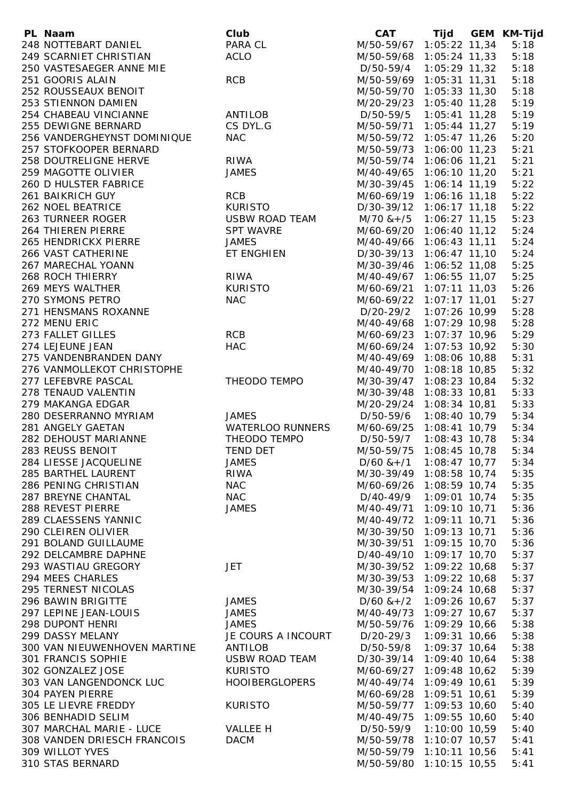| PL Naam                      | Club                    | CAT Tijd GEM KM-Tijd          |                 |      |
|------------------------------|-------------------------|-------------------------------|-----------------|------|
| 248 NOTTEBART DANIEL         | PARA CL                 | M/50-59/67 1:05:22 11,34      |                 | 5:18 |
| 249 SCARNIET CHRISTIAN       | <b>ACLO</b>             | M/50-59/68 1:05:24 11,33      |                 | 5:18 |
| 250 VASTESAEGER ANNE MIE     |                         | D/50-59/4                     | $1:05:29$ 11,32 | 5:18 |
| 251 GOORIS ALAIN             | <b>RCB</b>              | M/50-59/69 1:05:31 11,31      |                 | 5:18 |
| 252 ROUSSEAUX BENOIT         |                         | M/50-59/70 1:05:33 11,30      |                 | 5:18 |
| 253 STIENNON DAMIEN          |                         | M/20-29/23 1:05:40 11,28      |                 | 5:19 |
| 254 CHABEAU VINCIANNE        | ANTILOB                 | D/50-59/5                     | $1:05:41$ 11,28 | 5:19 |
| 255 DEWIGNE BERNARD          | CS DYL.G                | M/50-59/71 1:05:44 11,27      |                 | 5:19 |
| 256 VANDERGHEYNST DOMINIQUE  | <b>NAC</b>              | M/50-59/72 1:05:47 11,26      |                 | 5:20 |
| 257 STOFKOOPER BERNARD       |                         | M/50-59/73 1:06:00 11,23      |                 | 5:21 |
| 258 DOUTRELIGNE HERVE        | <b>RIWA</b>             | M/50-59/74 1:06:06 11,21      |                 | 5:21 |
| 259 MAGOTTE OLIVIER          | <b>JAMES</b>            | M/40-49/65 1:06:10 11,20      |                 | 5:21 |
| 260 D HULSTER FABRICE        |                         | M/30-39/45 1:06:14 11,19      |                 | 5:22 |
| <b>261 BAIKRICH GUY</b>      | <b>RCB</b>              | M/60-69/19 1:06:16 11,18      |                 | 5:22 |
|                              |                         |                               |                 |      |
| 262 NOEL BEATRICE            | <b>KURISTO</b>          | D/30-39/12 1:06:17 11,18      |                 | 5:22 |
| 263 TURNEER ROGER            | USBW ROAD TEAM          | $M/70$ & + /5 1:06:27 11,15   |                 | 5:23 |
| 264 THIEREN PIERRE           | <b>SPT WAVRE</b>        | M/60-69/20 1:06:40 11,12      |                 | 5:24 |
| 265 HENDRICKX PIERRE         | <b>JAMES</b>            | M/40-49/66 1:06:43 11,11      |                 | 5:24 |
| 266 VAST CATHERINE           | ET ENGHIEN              | D/30-39/13 1:06:47 11,10      |                 | 5:24 |
| 267 MARECHAL YOANN           |                         | M/30-39/46 1:06:52 11,08      |                 | 5:25 |
| 268 ROCH THIERRY             | <b>RIWA</b>             | M/40-49/67 1:06:55 11,07      |                 | 5:25 |
| 269 MEYS WALTHER             | <b>KURISTO</b>          | M/60-69/21 1:07:11 11,03      |                 | 5:26 |
| 270 SYMONS PETRO             | <b>NAC</b>              | M/60-69/22 1:07:17 11,01      |                 | 5:27 |
| 271 HENSMANS ROXANNE         |                         | D/20-29/2 1:07:26 10,99       |                 | 5:28 |
| 272 MENU ERIC                |                         | M/40-49/68 1:07:29 10,98      |                 | 5:28 |
| 273 FALLET GILLES            | <b>RCB</b>              | M/60-69/23 1:07:37 10,96      |                 | 5:29 |
| 274 LEJEUNE JEAN             | <b>HAC</b>              | M/60-69/24 1:07:53 10,92      |                 | 5:30 |
| 275 VANDENBRANDEN DANY       |                         | M/40-49/69 1:08:06 10,88      |                 | 5:31 |
| 276 VANMOLLEKOT CHRISTOPHE   |                         | M/40-49/70 1:08:18 10,85      |                 | 5:32 |
| 277 LEFEBVRE PASCAL          | THEODO TEMPO            | M/30-39/47 1:08:23 10,84      |                 | 5:32 |
| 278 TENAUD VALENTIN          |                         | M/30-39/48 1:08:33 10,81      |                 | 5:33 |
| 279 MAKANGA EDGAR            |                         | M/20-29/24 1:08:34 10,81      |                 | 5:33 |
| 280 DESERRANNO MYRIAM        | <b>JAMES</b>            | D/50-59/6                     | $1:08:40$ 10,79 | 5:34 |
| 281 ANGELY GAETAN            | <b>WATERLOO RUNNERS</b> | M/60-69/25 1:08:41 10,79      |                 | 5:34 |
| 282 DEHOUST MARIANNE         | THEODO TEMPO            | D/50-59/7                     | $1:08:43$ 10,78 | 5:34 |
| 283 REUSS BENOIT             | <b>TEND DET</b>         | M/50-59/75                    | $1:08:45$ 10,78 | 5:34 |
|                              |                         |                               |                 |      |
| 284 LIESSE JACQUELINE        | JAMES                   | $D/60$ & + $/1$ 1:08:47 10,77 |                 | 5:34 |
| 285 BARTHEL LAURENT          | <b>RIWA</b>             | M/30-39/49 1:08:58 10,74      |                 | 5:35 |
| 286 PENING CHRISTIAN         | <b>NAC</b>              | M/60-69/26                    | 1:08:59 10,74   | 5:35 |
| 287 BREYNE CHANTAL           | <b>NAC</b>              | D/40-49/9                     | 1:09:01 10,74   | 5:35 |
| 288 REVEST PIERRE            | <b>JAMES</b>            | M/40-49/71 1:09:10 10,71      |                 | 5:36 |
| 289 CLAESSENS YANNIC         |                         | M/40-49/72 1:09:11 10,71      |                 | 5:36 |
| 290 CLEIREN OLIVIER          |                         | M/30-39/50 1:09:13 10,71      |                 | 5:36 |
| 291 BOLAND GUILLAUME         |                         | M/30-39/51                    | $1:09:15$ 10,70 | 5:36 |
| 292 DELCAMBRE DAPHNE         |                         | D/40-49/10 1:09:17 10,70      |                 | 5:37 |
| 293 WASTIAU GREGORY          | <b>JET</b>              | M/30-39/52 1:09:22 10,68      |                 | 5:37 |
| 294 MEES CHARLES             |                         | M/30-39/53                    | $1:09:22$ 10,68 | 5:37 |
| <b>295 TERNEST NICOLAS</b>   |                         | M/30-39/54 1:09:24 10,68      |                 | 5:37 |
| 296 BAWIN BRIGITTE           | <b>JAMES</b>            | $D/60$ & + $/2$               | $1:09:26$ 10,67 | 5:37 |
| 297 LEPINE JEAN-LOUIS        | <b>JAMES</b>            | M/40-49/73 1:09:27 10,67      |                 | 5:37 |
| 298 DUPONT HENRI             | <b>JAMES</b>            | M/50-59/76 1:09:29 10,66      |                 | 5:38 |
| 299 DASSY MELANY             | JE COURS A INCOURT      | D/20-29/3                     | $1:09:31$ 10,66 | 5:38 |
| 300 VAN NIEUWENHOVEN MARTINE | ANTILOB                 | D/50-59/8                     | $1:09:37$ 10,64 | 5:38 |
| 301 FRANCIS SOPHIE           | <b>USBW ROAD TEAM</b>   | D/30-39/14 1:09:40 10,64      |                 | 5:38 |
| 302 GONZALEZ JOSE            | <b>KURISTO</b>          | M/60-69/27 1:09:48 10,62      |                 | 5:39 |
| 303 VAN LANGENDONCK LUC      | <b>HOOIBERGLOPERS</b>   | M/40-49/74 1:09:49 10,61      |                 | 5:39 |
| 304 PAYEN PIERRE             |                         | M/60-69/28 1:09:51 10,61      |                 | 5:39 |
| 305 LE LIEVRE FREDDY         | <b>KURISTO</b>          | M/50-59/77 1:09:53 10,60      |                 | 5:40 |
| 306 BENHADID SELIM           |                         | M/40-49/75 1:09:55 10,60      |                 | 5:40 |
| 307 MARCHAL MARIE - LUCE     | VALLEE H                | D/50-59/9 1:10:00 10,59       |                 | 5:40 |
|                              |                         |                               |                 |      |
| 308 VANDEN DRIESCH FRANCOIS  | <b>DACM</b>             | M/50-59/78 1:10:07 10,57      |                 | 5:41 |
| 309 WILLOT YVES              |                         | M/50-59/79 1:10:11 10,56      |                 | 5:41 |
| 310 STAS BERNARD             |                         | M/50-59/80 1:10:15 10,55      |                 | 5:41 |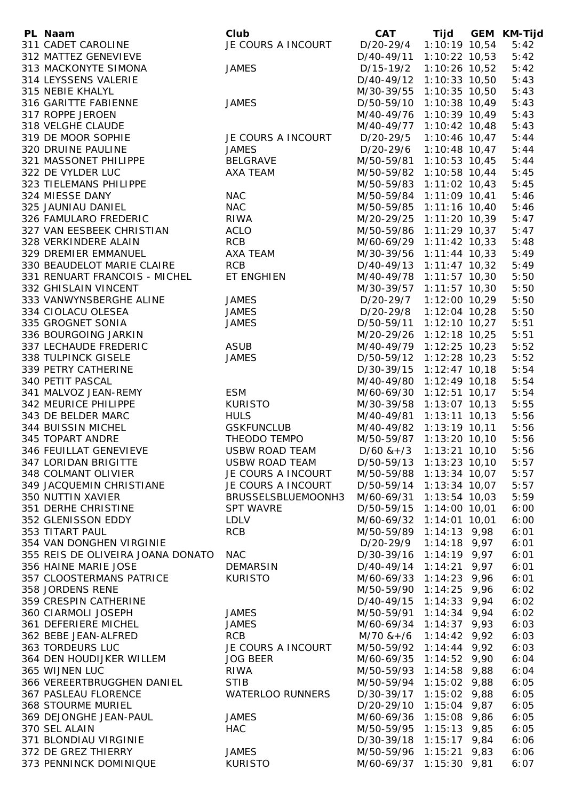| PL Naam                           | Club                    | CAT Tijd                    |                 | GEM KM-Tijd |
|-----------------------------------|-------------------------|-----------------------------|-----------------|-------------|
| 311 CADET CAROLINE                | JE COURS A INCOURT      | D/20-29/4 1:10:19 10,54     |                 | 5:42        |
| 312 MATTEZ GENEVIEVE              |                         | D/40-49/11 1:10:22 10,53    |                 | 5:42        |
| 313 MACKONYTE SIMONA              | <b>JAMES</b>            | D/15-19/2 1:10:26 10,52     |                 | 5:42        |
| 314 LEYSSENS VALERIE              |                         | D/40-49/12 1:10:33 10,50    |                 | 5:43        |
| 315 NEBIE KHALYL                  |                         | M/30-39/55 1:10:35 10,50    |                 | 5:43        |
|                                   |                         |                             |                 |             |
| 316 GARITTE FABIENNE              | <b>JAMES</b>            | D/50-59/10 1:10:38 10,49    |                 | 5:43        |
| 317 ROPPE JEROEN                  |                         | M/40-49/76                  | 1:10:39 10,49   | 5:43        |
| 318 VELGHE CLAUDE                 |                         | M/40-49/77 1:10:42 10,48    |                 | 5:43        |
| 319 DE MOOR SOPHIE                | JE COURS A INCOURT      | D/20-29/5 1:10:46 10,47     |                 | 5:44        |
| 320 DRUINE PAULINE                | <b>JAMES</b>            | D/20-29/6 1:10:48 10,47     |                 | 5:44        |
| 321 MASSONET PHILIPPE             | BELGRAVE                | M/50-59/81 1:10:53 10,45    |                 | 5:44        |
| 322 DE VYLDER LUC                 | AXA TEAM                | M/50-59/82 1:10:58 10,44    |                 | 5:45        |
| 323 TIELEMANS PHILIPPE            |                         | M/50-59/83 1:11:02 10,43    |                 | 5:45        |
| 324 MIESSE DANY                   | <b>NAC</b>              | M/50-59/84 1:11:09 10,41    |                 | 5:46        |
| 325 JAUNIAU DANIEL                | <b>NAC</b>              | M/50-59/85 1:11:16 10,40    |                 | 5:46        |
| 326 FAMULARO FREDERIC             | <b>RIWA</b>             | M/20-29/25 1:11:20 10,39    |                 | 5:47        |
| 327 VAN EESBEEK CHRISTIAN         | <b>ACLO</b>             | M/50-59/86 1:11:29 10,37    |                 | 5:47        |
| 328 VERKINDERE ALAIN              | <b>RCB</b>              | M/60-69/29 1:11:42 10,33    |                 | 5:48        |
| 329 DREMIER EMMANUEL              | AXA TEAM                | M/30-39/56 1:11:44 10,33    |                 | 5:49        |
|                                   |                         |                             |                 |             |
| 330 BEAUDELOT MARIE CLAIRE        | <b>RCB</b>              | D/40-49/13 1:11:47 10,32    |                 | 5:49        |
| 331 RENUART FRANCOIS - MICHEL     | ET ENGHIEN              | M/40-49/78 1:11:57 10,30    |                 | 5:50        |
| 332 GHISLAIN VINCENT              |                         | M/30-39/57 1:11:57 10,30    |                 | 5:50        |
| 333 VANWYNSBERGHE ALINE           | <b>JAMES</b>            | D/20-29/7 1:12:00 10,29     |                 | 5:50        |
| 334 CIOLACU OLESEA                | <b>JAMES</b>            | D/20-29/8 1:12:04 10,28     |                 | 5:50        |
| 335 GROGNET SONIA                 | <b>JAMES</b>            | D/50-59/11 1:12:10 10,27    |                 | 5:51        |
| 336 BOURGOING JARKIN              |                         | M/20-29/26 1:12:18 10,25    |                 | 5:51        |
| 337 LECHAUDE FREDERIC             | ASUB                    | M/40-49/79 1:12:25 10,23    |                 | 5:52        |
| 338 TULPINCK GISELE               | <b>JAMES</b>            | D/50-59/12 1:12:28 10,23    |                 | 5:52        |
| 339 PETRY CATHERINE               |                         | D/30-39/15 1:12:47 10,18    |                 | 5:54        |
| 340 PETIT PASCAL                  |                         | M/40-49/80 1:12:49 10,18    |                 | 5:54        |
| 341 MALVOZ JEAN-REMY              | <b>ESM</b>              | M/60-69/30 1:12:51 10,17    |                 | 5:54        |
| 342 MEURICE PHILIPPE              | <b>KURISTO</b>          | M/30-39/58 1:13:07 10,13    |                 | 5:55        |
|                                   |                         |                             |                 |             |
| 343 DE BELDER MARC                | <b>HULS</b>             | M/40-49/81 1:13:11 10,13    |                 | 5:56        |
| 344 BUISSIN MICHEL                | <b>GSKFUNCLUB</b>       | M/40-49/82 1:13:19 10,11    |                 | 5:56        |
| 345 TOPART ANDRE                  | THEODO TEMPO            | M/50-59/87 1:13:20 10,10    |                 | 5:56        |
| 346 FEUILLAT GENEVIEVE            | <b>USBW ROAD TEAM</b>   | $D/60$ & + /3               | $1:13:21$ 10,10 | 5:56        |
| 347 LORIDAN BRIGITTE              | <b>USBW ROAD TEAM</b>   | D/50-59/13 1:13:23 10,10    |                 | 5:57        |
| 348 COLMANT OLIVIER               | JE COURS A INCOURT      | M/50-59/88 1:13:34 10,07    |                 | 5:57        |
| 349 JACQUEMIN CHRISTIANE          | JE COURS A INCOURT      | D/50-59/14 1:13:34 10,07    |                 | 5:57        |
| 350 NUTTIN XAVIER                 | BRUSSELSBLUEMOONH3      | M/60-69/31 1:13:54 10,03    |                 | 5:59        |
| 351 DERHE CHRISTINE               | <b>SPT WAVRE</b>        | D/50-59/15 1:14:00 10,01    |                 | 6:00        |
| 352 GLENISSON EDDY                | LDLV                    | M/60-69/32 1:14:01 10,01    |                 | 6:00        |
| 353 TITART PAUL                   | <b>RCB</b>              | M/50-59/89 1:14:13 9,98     |                 | 6:01        |
| 354 VAN DONGHEN VIRGINIE          |                         | D/20-29/9 1:14:18 9,97      |                 | 6:01        |
| 355 REIS DE OLIVEIRA JOANA DONATO | <b>NAC</b>              | D/30-39/16 1:14:19 9,97     |                 | 6:01        |
| 356 HAINE MARIE JOSE              | <b>DEMARSIN</b>         | D/40-49/14 1:14:21 9,97     |                 | 6:01        |
| 357 CLOOSTERMANS PATRICE          | <b>KURISTO</b>          | M/60-69/33 1:14:23 9,96     |                 | 6:01        |
|                                   |                         |                             |                 |             |
| 358 JORDENS RENE                  |                         | M/50-59/90 1:14:25 9,96     |                 | 6:02        |
| 359 CRESPIN CATHERINE             |                         | D/40-49/15 1:14:33 9,94     |                 | 6:02        |
| 360 CIARMOLI JOSEPH               | <b>JAMES</b>            | M/50-59/91 1:14:34 9,94     |                 | 6:02        |
| 361 DEFERIERE MICHEL              | <b>JAMES</b>            | M/60-69/34 1:14:37 9,93     |                 | 6:03        |
| 362 BEBE JEAN-ALFRED              | <b>RCB</b>              | $M/70$ & + / 6 1:14:42 9,92 |                 | 6:03        |
| 363 TORDEURS LUC                  | JE COURS A INCOURT      | M/50-59/92 1:14:44 9,92     |                 | 6:03        |
| 364 DEN HOUDIJKER WILLEM          | <b>JOG BEER</b>         | M/60-69/35 1:14:52 9,90     |                 | 6:04        |
| 365 WIJNEN LUC                    | <b>RIWA</b>             | M/50-59/93 1:14:58 9,88     |                 | 6:04        |
| 366 VEREERTBRUGGHEN DANIEL        | <b>STIB</b>             | M/50-59/94 1:15:02 9,88     |                 | 6:05        |
| <b>367 PASLEAU FLORENCE</b>       | <b>WATERLOO RUNNERS</b> | D/30-39/17 1:15:02 9,88     |                 | 6:05        |
| <b>368 STOURME MURIEL</b>         |                         | D/20-29/10 1:15:04 9,87     |                 | 6:05        |
| 369 DEJONGHE JEAN-PAUL            | <b>JAMES</b>            | M/60-69/36 1:15:08 9,86     |                 | 6:05        |
| 370 SEL ALAIN                     | <b>HAC</b>              | M/50-59/95 1:15:13 9,85     |                 | 6:05        |
| 371 BLONDIAU VIRGINIE             |                         | D/30-39/18 1:15:17 9,84     |                 | 6:06        |
| 372 DE GREZ THIERRY               | <b>JAMES</b>            | M/50-59/96 1:15:21 9,83     |                 | 6:06        |
|                                   |                         |                             |                 |             |
| 373 PENNINCK DOMINIQUE            | <b>KURISTO</b>          | M/60-69/37 1:15:30 9,81     |                 | 6:07        |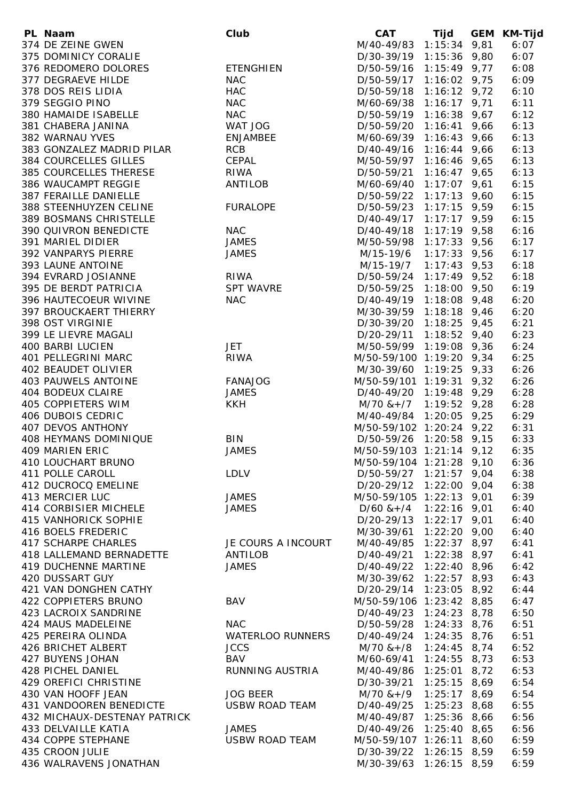| PL Naam                      | Club                    | <b>CAT</b>                   | Tijd           | GEM KM-Tijd |
|------------------------------|-------------------------|------------------------------|----------------|-------------|
| 374 DE ZEINE GWEN            |                         | M/40-49/83 1:15:34 9,81      |                | 6:07        |
| 375 DOMINICY CORALIE         |                         | D/30-39/19 1:15:36 9,80      |                | 6:07        |
| 376 REDOMERO DOLORES         | <b>ETENGHIEN</b>        | D/50-59/16 1:15:49 9,77      |                | 6:08        |
| 377 DEGRAEVE HILDE           | <b>NAC</b>              | D/50-59/17 1:16:02 9,75      |                | 6:09        |
| 378 DOS REIS LIDIA           | <b>HAC</b>              | D/50-59/18 1:16:12 9,72      |                | 6:10        |
| 379 SEGGIO PINO              | <b>NAC</b>              | M/60-69/38 1:16:17 9,71      |                | 6:11        |
| 380 HAMAIDE ISABELLE         | <b>NAC</b>              |                              |                | 6:12        |
|                              |                         | D/50-59/19 1:16:38 9,67      |                |             |
| 381 CHABERA JANINA           | WAT JOG                 | D/50-59/20 1:16:41 9,66      |                | 6:13        |
| 382 WARNAU YVES              | ENJAMBEE                | M/60-69/39 1:16:43 9,66      |                | 6:13        |
| 383 GONZALEZ MADRID PILAR    | <b>RCB</b>              | D/40-49/16 1:16:44 9,66      |                | 6:13        |
| 384 COURCELLES GILLES        | CEPAL                   | M/50-59/97 1:16:46 9,65      |                | 6:13        |
| 385 COURCELLES THERESE       | <b>RIWA</b>             | D/50-59/21 1:16:47 9,65      |                | 6:13        |
| 386 WAUCAMPT REGGIE          | ANTILOB                 | M/60-69/40 1:17:07 9,61      |                | 6:15        |
| 387 FERAILLE DANIELLE        |                         | D/50-59/22 1:17:13 9,60      |                | 6:15        |
| 388 STEENHUYZEN CELINE       | <b>FURALOPE</b>         | D/50-59/23 1:17:15 9,59      |                | 6:15        |
| 389 BOSMANS CHRISTELLE       |                         | D/40-49/17 1:17:17 9,59      |                | 6:15        |
| 390 QUIVRON BENEDICTE        | <b>NAC</b>              | D/40-49/18 1:17:19 9,58      |                | 6:16        |
| 391 MARIEL DIDIER            | <b>JAMES</b>            | M/50-59/98 1:17:33 9,56      |                | 6:17        |
| 392 VANPARYS PIERRE          | <b>JAMES</b>            | M/15-19/6                    | $1:17:33$ 9,56 | 6:17        |
| 393 LAUNE ANTOINE            |                         | M/15-19/7 1:17:43 9,53       |                | 6:18        |
| 394 EVRARD JOSIANNE          | <b>RIWA</b>             | D/50-59/24 1:17:49 9,52      |                | 6:18        |
|                              |                         |                              |                |             |
| 395 DE BERDT PATRICIA        | <b>SPT WAVRE</b>        | D/50-59/25 1:18:00 9,50      |                | 6:19        |
| 396 HAUTECOEUR WIVINE        | <b>NAC</b>              | D/40-49/19 1:18:08 9,48      |                | 6:20        |
| 397 BROUCKAERT THIERRY       |                         | M/30-39/59 1:18:18 9,46      |                | 6:20        |
| 398 OST VIRGINIE             |                         | D/30-39/20 1:18:25 9,45      |                | 6:21        |
| 399 LE LIEVRE MAGALI         |                         | D/20-29/11 1:18:52 9,40      |                | 6:23        |
| 400 BARBI LUCIEN             | <b>JET</b>              | M/50-59/99 1:19:08 9,36      |                | 6:24        |
| 401 PELLEGRINI MARC          | <b>RIWA</b>             | M/50-59/100 1:19:20 9,34     |                | 6:25        |
| 402 BEAUDET OLIVIER          |                         | M/30-39/60 1:19:25 9,33      |                | 6:26        |
| 403 PAUWELS ANTOINE          | <b>FANAJOG</b>          | M/50-59/101 1:19:31 9,32     |                | 6:26        |
| 404 BODEUX CLAIRE            | <b>JAMES</b>            | D/40-49/20 1:19:48 9,29      |                | 6:28        |
| 405 COPPIETERS WIM           | <b>KKH</b>              | $M/70$ & + $/7$ 1:19:52 9,28 |                | 6:28        |
| 406 DUBOIS CEDRIC            |                         | M/40-49/84 1:20:05 9,25      |                | 6:29        |
| 407 DEVOS ANTHONY            |                         | M/50-59/102 1:20:24 9,22     |                | 6:31        |
| 408 HEYMANS DOMINIQUE        | <b>BIN</b>              | D/50-59/26 1:20:58 9,15      |                | 6:33        |
| 409 MARIEN ERIC              | <b>JAMES</b>            | M/50-59/103 1:21:14 9,12     |                | 6:35        |
| 410 LOUCHART BRUNO           |                         | M/50-59/104 1:21:28 9,10     |                | 6:36        |
| 411 POLLE CAROLL             | <b>LDLV</b>             | D/50-59/27 1:21:57 9,04      |                | 6:38        |
| 412 DUCROCQ EMELINE          |                         | D/20-29/12 1:22:00 9,04      |                | 6:38        |
| 413 MERCIER LUC              | JAMES                   | M/50-59/105 1:22:13 9,01     |                | 6:39        |
| 414 CORBISIER MICHELE        | <b>JAMES</b>            | $D/60$ & + $/4$ 1:22:16 9,01 |                | 6:40        |
| 415 VANHORICK SOPHIE         |                         | D/20-29/13                   | $1:22:17$ 9,01 | 6:40        |
| 416 BOELS FREDERIC           |                         |                              |                |             |
|                              |                         | M/30-39/61                   | $1:22:20$ 9,00 | 6:40        |
| 417 SCHARPE CHARLES          | JE COURS A INCOURT      | M/40-49/85                   | $1:22:37$ 8,97 | 6:41        |
| 418 LALLEMAND BERNADETTE     | <b>ANTILOB</b>          | D/40-49/21                   | $1:22:38$ 8,97 | 6:41        |
| <b>419 DUCHENNE MARTINE</b>  | <b>JAMES</b>            | D/40-49/22 1:22:40 8,96      |                | 6:42        |
| 420 DUSSART GUY              |                         | M/30-39/62 1:22:57 8,93      |                | 6:43        |
| 421 VAN DONGHEN CATHY        |                         | D/20-29/14 1:23:05 8,92      |                | 6:44        |
| 422 COPPIETERS BRUNO         | BAV                     | M/50-59/106 1:23:42 8,85     |                | 6:47        |
| 423 LACROIX SANDRINE         |                         | D/40-49/23 1:24:23 8,78      |                | 6:50        |
| 424 MAUS MADELEINE           | <b>NAC</b>              | D/50-59/28 1:24:33 8,76      |                | 6:51        |
| 425 PEREIRA OLINDA           | <b>WATERLOO RUNNERS</b> | D/40-49/24 1:24:35 8,76      |                | 6:51        |
| 426 BRICHET ALBERT           | <b>JCCS</b>             | $M/70$ & +/8                 | $1:24:45$ 8,74 | 6:52        |
| 427 BUYENS JOHAN             | BAV                     | M/60-69/41 1:24:55 8,73      |                | 6:53        |
| 428 PICHEL DANIEL            | <b>RUNNING AUSTRIA</b>  | M/40-49/86 1:25:01 8,72      |                | 6:53        |
| 429 OREFICI CHRISTINE        |                         | D/30-39/21 1:25:15 8,69      |                | 6:54        |
| 430 VAN HOOFF JEAN           | <b>JOG BEER</b>         | $M/70$ & +/9                 | $1:25:17$ 8,69 | 6:54        |
| 431 VANDOOREN BENEDICTE      | <b>USBW ROAD TEAM</b>   | D/40-49/25 1:25:23 8,68      |                | 6:55        |
| 432 MICHAUX-DESTENAY PATRICK |                         | M/40-49/87 1:25:36 8,66      |                | 6:56        |
| 433 DELVAILLE KATIA          | <b>JAMES</b>            | D/40-49/26 1:25:40 8,65      |                | 6:56        |
| 434 COPPE STEPHANE           | <b>USBW ROAD TEAM</b>   | M/50-59/107 1:26:11 8,60     |                | 6:59        |
| 435 CROON JULIE              |                         | D/30-39/22 1:26:15 8,59      |                | 6:59        |
| 436 WALRAVENS JONATHAN       |                         | M/30-39/63 1:26:15 8,59      |                | 6:59        |